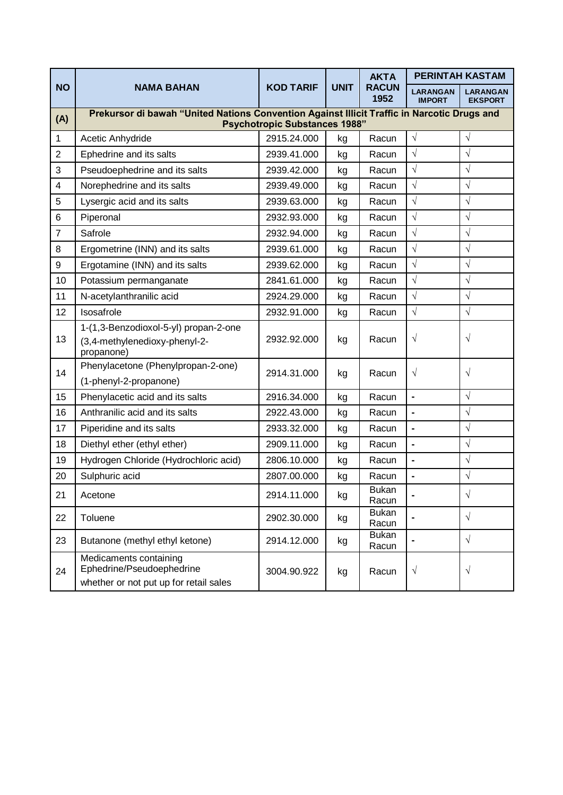| <b>NO</b>        | <b>NAMA BAHAN</b>                                                                                                                   | <b>KOD TARIF</b> | <b>UNIT</b> | <b>AKTA</b><br><b>RACUN</b><br>1952 | <b>PERINTAH KASTAM</b>           |                                   |  |  |  |  |  |
|------------------|-------------------------------------------------------------------------------------------------------------------------------------|------------------|-------------|-------------------------------------|----------------------------------|-----------------------------------|--|--|--|--|--|
|                  |                                                                                                                                     |                  |             |                                     | <b>LARANGAN</b><br><b>IMPORT</b> | <b>LARANGAN</b><br><b>EKSPORT</b> |  |  |  |  |  |
| (A)              | Prekursor di bawah "United Nations Convention Against Illicit Traffic in Narcotic Drugs and<br><b>Psychotropic Substances 1988"</b> |                  |             |                                     |                                  |                                   |  |  |  |  |  |
| 1                | Acetic Anhydride                                                                                                                    | 2915.24.000      | kg          | Racun                               | $\sqrt{ }$                       | $\sqrt{}$                         |  |  |  |  |  |
| $\overline{2}$   | Ephedrine and its salts                                                                                                             | 2939.41.000      | kg          | Racun                               | $\sqrt{}$                        | $\sqrt{}$                         |  |  |  |  |  |
| 3                | Pseudoephedrine and its salts                                                                                                       | 2939.42.000      | kg          | Racun                               | $\sqrt{}$                        | $\sqrt{}$                         |  |  |  |  |  |
| 4                | Norephedrine and its salts                                                                                                          | 2939.49.000      | kg          | Racun                               | $\sqrt{}$                        | $\sqrt{}$                         |  |  |  |  |  |
| 5                | Lysergic acid and its salts                                                                                                         | 2939.63.000      | kg          | Racun                               | $\sqrt{}$                        | $\sqrt{}$                         |  |  |  |  |  |
| 6                | Piperonal                                                                                                                           | 2932.93.000      | kg          | Racun                               | $\sqrt{}$                        | $\sqrt{}$                         |  |  |  |  |  |
| $\overline{7}$   | Safrole                                                                                                                             | 2932.94.000      | kg          | Racun                               | $\sqrt{}$                        | $\sqrt{}$                         |  |  |  |  |  |
| 8                | Ergometrine (INN) and its salts                                                                                                     | 2939.61.000      | kg          | Racun                               | $\sqrt{}$                        | $\sqrt{}$                         |  |  |  |  |  |
| $\boldsymbol{9}$ | Ergotamine (INN) and its salts                                                                                                      | 2939.62.000      | kg          | Racun                               | $\sqrt{}$                        | $\sqrt{}$                         |  |  |  |  |  |
| 10               | Potassium permanganate                                                                                                              | 2841.61.000      | kg          | Racun                               | $\sqrt{}$                        | $\sqrt{}$                         |  |  |  |  |  |
| 11               | N-acetylanthranilic acid                                                                                                            | 2924.29.000      | kg          | Racun                               | $\sqrt{ }$                       | $\sqrt{}$                         |  |  |  |  |  |
| 12               | Isosafrole                                                                                                                          | 2932.91.000      | kg          | Racun                               | $\sqrt{ }$                       | $\sqrt{ }$                        |  |  |  |  |  |
| 13               | 1-(1,3-Benzodioxol-5-yl) propan-2-one<br>(3,4-methylenedioxy-phenyl-2-<br>propanone)                                                | 2932.92.000      | kg          | Racun                               | $\sqrt{}$                        | $\sqrt{}$                         |  |  |  |  |  |
| 14               | Phenylacetone (Phenylpropan-2-one)<br>(1-phenyl-2-propanone)                                                                        | 2914.31.000      | kg          | Racun                               | $\sqrt{}$                        | $\sqrt{}$                         |  |  |  |  |  |
| 15               | Phenylacetic acid and its salts                                                                                                     | 2916.34.000      | kg          | Racun                               | $\overline{a}$                   | $\sqrt{ }$                        |  |  |  |  |  |
| 16               | Anthranilic acid and its salts                                                                                                      | 2922.43.000      | kg          | Racun                               |                                  | $\sqrt{}$                         |  |  |  |  |  |
| 17               | Piperidine and its salts                                                                                                            | 2933.32.000      | kg          | Racun                               | $\overline{\phantom{0}}$         | $\sqrt{}$                         |  |  |  |  |  |
| 18               | Diethyl ether (ethyl ether)                                                                                                         | 2909.11.000      | kg          | Racun                               | $\overline{a}$                   | $\sqrt{}$                         |  |  |  |  |  |
| 19               | Hydrogen Chloride (Hydrochloric acid)                                                                                               | 2806.10.000      | kg          | Racun                               | $\overline{\phantom{0}}$         | $\sqrt{}$                         |  |  |  |  |  |
| 20               | Sulphuric acid                                                                                                                      | 2807.00.000      | kg          | Racun                               |                                  | $\sqrt{}$                         |  |  |  |  |  |
| 21               | Acetone                                                                                                                             | 2914.11.000      | kg          | <b>Bukan</b><br>Racun               |                                  | $\sqrt{}$                         |  |  |  |  |  |
| 22               | Toluene                                                                                                                             | 2902.30.000      | kg          | <b>Bukan</b><br>Racun               |                                  | $\sqrt{ }$                        |  |  |  |  |  |
| 23               | Butanone (methyl ethyl ketone)                                                                                                      | 2914.12.000      | kg          | <b>Bukan</b><br>Racun               |                                  | $\sqrt{ }$                        |  |  |  |  |  |
| 24               | Medicaments containing<br>Ephedrine/Pseudoephedrine<br>whether or not put up for retail sales                                       | 3004.90.922      | kg          | Racun                               | $\sqrt{}$                        | $\sqrt{ }$                        |  |  |  |  |  |